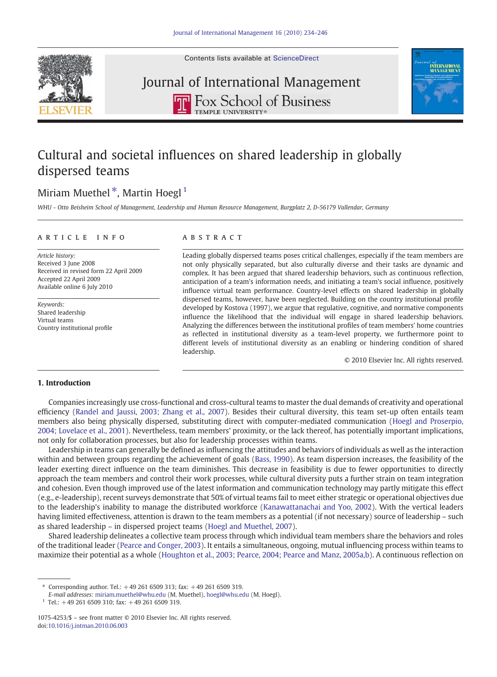Contents lists available at [ScienceDirect](http://www.sciencedirect.com/science/journal/10754253)



# Journal of International Management**THE ROX School of Business**



# Cultural and societal influences on shared leadership in globally dispersed teams

## Miriam Muethel  $*$ , Martin Hoegl<sup>1</sup>

WHU - Otto Beisheim School of Management, Leadership and Human Resource Management, Burgplatz 2, D-56179 Vallendar, Germany

### article info abstract

Article history: Received 3 June 2008 Received in revised form 22 April 2009 Accepted 22 April 2009 Available online 6 July 2010

Keywords: Shared leadership Virtual teams Country institutional profile

Leading globally dispersed teams poses critical challenges, especially if the team members are not only physically separated, but also culturally diverse and their tasks are dynamic and complex. It has been argued that shared leadership behaviors, such as continuous reflection, anticipation of a team's information needs, and initiating a team's social influence, positively influence virtual team performance. Country-level effects on shared leadership in globally dispersed teams, however, have been neglected. Building on the country institutional profile developed by Kostova (1997), we argue that regulative, cognitive, and normative components influence the likelihood that the individual will engage in shared leadership behaviors. Analyzing the differences between the institutional profiles of team members' home countries as reflected in institutional diversity as a team-level property, we furthermore point to different levels of institutional diversity as an enabling or hindering condition of shared leadership.

© 2010 Elsevier Inc. All rights reserved.

### 1. Introduction

Companies increasingly use cross-functional and cross-cultural teams to master the dual demands of creativity and operational efficiency ([Randel and Jaussi, 2003; Zhang et al., 2007\)](#page--1-0). Besides their cultural diversity, this team set-up often entails team members also being physically dispersed, substituting direct with computer-mediated communication ([Hoegl and Proserpio,](#page--1-0) [2004; Lovelace et al., 2001](#page--1-0)). Nevertheless, team members' proximity, or the lack thereof, has potentially important implications, not only for collaboration processes, but also for leadership processes within teams.

Leadership in teams can generally be defined as influencing the attitudes and behaviors of individuals as well as the interaction within and between groups regarding the achievement of goals [\(Bass, 1990](#page--1-0)). As team dispersion increases, the feasibility of the leader exerting direct influence on the team diminishes. This decrease in feasibility is due to fewer opportunities to directly approach the team members and control their work processes, while cultural diversity puts a further strain on team integration and cohesion. Even though improved use of the latest information and communication technology may partly mitigate this effect (e.g., e-leadership), recent surveys demonstrate that 50% of virtual teams fail to meet either strategic or operational objectives due to the leadership's inability to manage the distributed workforce [\(Kanawattanachai and Yoo, 2002](#page--1-0)). With the vertical leaders having limited effectiveness, attention is drawn to the team members as a potential (if not necessary) source of leadership – such as shared leadership – in dispersed project teams ([Hoegl and Muethel, 2007](#page--1-0)).

Shared leadership delineates a collective team process through which individual team members share the behaviors and roles of the traditional leader ([Pearce and Conger, 2003\)](#page--1-0). It entails a simultaneous, ongoing, mutual influencing process within teams to maximize their potential as a whole [\(Houghton et al., 2003; Pearce, 2004; Pearce and Manz, 2005a,b](#page--1-0)). A continuous reflection on

Corresponding author. Tel.:  $+492616509313$ ; fax:  $+492616509319$ .

E-mail addresses: [miriam.muethel@whu.edu](mailto:miriam.muethel@whu.edu) (M. Muethel), [hoegl@whu.edu](mailto:hoegl@whu.edu) (M. Hoegl).

 $1$  Tel.: +49 261 6509 310; fax: +49 261 6509 319.

<sup>1075-4253/\$</sup> – see front matter © 2010 Elsevier Inc. All rights reserved. doi:[10.1016/j.intman.2010.06.003](http://dx.doi.org/10.1016/j.intman.2010.06.003)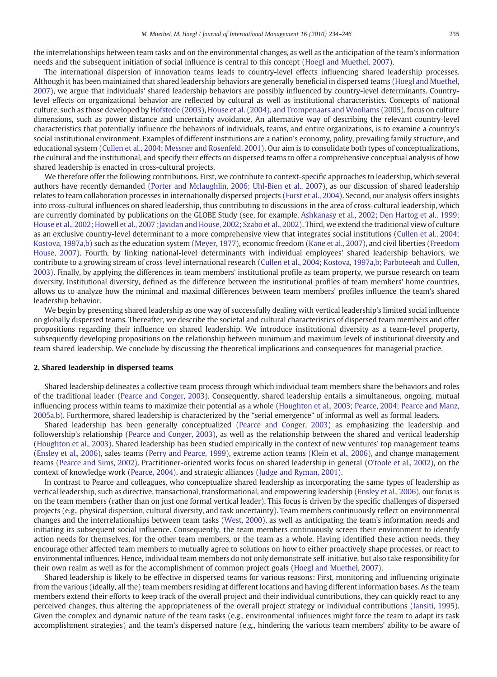the interrelationships between team tasks and on the environmental changes, as well as the anticipation of the team's information needs and the subsequent initiation of social influence is central to this concept [\(Hoegl and Muethel, 2007](#page--1-0)).

The international dispersion of innovation teams leads to country-level effects influencing shared leadership processes. Although it has been maintained that shared leadership behaviors are generally beneficial in dispersed teams ([Hoegl and Muethel,](#page--1-0) [2007](#page--1-0)), we argue that individuals' shared leadership behaviors are possibly influenced by country-level determinants. Countrylevel effects on organizational behavior are reflected by cultural as well as institutional characteristics. Concepts of national culture, such as those developed by [Hofstede \(2003\),](#page--1-0) [House et al. \(2004\), and Trompenaars and Wooliams \(2005\)](#page--1-0), focus on culture dimensions, such as power distance and uncertainty avoidance. An alternative way of describing the relevant country-level characteristics that potentially influence the behaviors of individuals, teams, and entire organizations, is to examine a country's social institutional environment. Examples of different institutions are a nation's economy, polity, prevailing family structure, and educational system [\(Cullen et al., 2004; Messner and Rosenfeld, 2001](#page--1-0)). Our aim is to consolidate both types of conceptualizations, the cultural and the institutional, and specify their effects on dispersed teams to offer a comprehensive conceptual analysis of how shared leadership is enacted in cross-cultural projects.

We therefore offer the following contributions. First, we contribute to context-specific approaches to leadership, which several authors have recently demanded [\(Porter and Mclaughlin, 2006; Uhl-Bien et al., 2007](#page--1-0)), as our discussion of shared leadership relates to team collaboration processes in internationally dispersed projects ([Furst et al., 2004\)](#page--1-0). Second, our analysis offers insights into cross-cultural influences on shared leadership, thus contributing to discussions in the area of cross-cultural leadership, which are currently dominated by publications on the GLOBE Study (see, for example, [Ashkanasy et al., 2002; Den Hartog et al., 1999;](#page--1-0) [House et al., 2002; Howell et al., 2007 ;Javidan and House, 2002; Szabo et al., 2002](#page--1-0)). Third, we extend the traditional view of culture as an exclusive country-level determinant to a more comprehensive view that integrates social institutions ([Cullen et al., 2004;](#page--1-0) [Kostova, 1997a,b\)](#page--1-0) such as the education system [\(Meyer, 1977](#page--1-0)), economic freedom [\(Kane et al., 2007](#page--1-0)), and civil liberties [\(Freedom](http://www.freedomhouse.org/template.cfm?page=351&ana_page=333&year=2007) [House, 2007\)](http://www.freedomhouse.org/template.cfm?page=351&ana_page=333&year=2007). Fourth, by linking national-level determinants with individual employees' shared leadership behaviors, we contribute to a growing stream of cross-level international research ([Cullen et al., 2004; Kostova, 1997a,b; Parboteeah and Cullen,](#page--1-0) [2003](#page--1-0)). Finally, by applying the differences in team members' institutional profile as team property, we pursue research on team diversity. Institutional diversity, defined as the difference between the institutional profiles of team members' home countries, allows us to analyze how the minimal and maximal differences between team members' profiles influence the team's shared leadership behavior.

We begin by presenting shared leadership as one way of successfully dealing with vertical leadership's limited social influence on globally dispersed teams. Thereafter, we describe the societal and cultural characteristics of dispersed team members and offer propositions regarding their influence on shared leadership. We introduce institutional diversity as a team-level property, subsequently developing propositions on the relationship between minimum and maximum levels of institutional diversity and team shared leadership. We conclude by discussing the theoretical implications and consequences for managerial practice.

## 2. Shared leadership in dispersed teams

Shared leadership delineates a collective team process through which individual team members share the behaviors and roles of the traditional leader [\(Pearce and Conger, 2003](#page--1-0)). Consequently, shared leadership entails a simultaneous, ongoing, mutual influencing process within teams to maximize their potential as a whole [\(Houghton et al., 2003; Pearce, 2004; Pearce and Manz,](#page--1-0) [2005a,b](#page--1-0)). Furthermore, shared leadership is characterized by the "serial emergence" of informal as well as formal leaders.

Shared leadership has been generally conceptualized ([Pearce and Conger, 2003](#page--1-0)) as emphasizing the leadership and followership's relationship ([Pearce and Conger, 2003\)](#page--1-0), as well as the relationship between the shared and vertical leadership [\(Houghton et al., 2003\)](#page--1-0). Shared leadership has been studied empirically in the context of new ventures' top management teams [\(Ensley et al., 2006\)](#page--1-0), sales teams ([Perry and Pearce, 1999](#page--1-0)), extreme action teams [\(Klein et al., 2006\)](#page--1-0), and change management teams ([Pearce and Sims, 2002](#page--1-0)). Practitioner-oriented works focus on shared leadership in general ([O'toole et al., 2002\)](#page--1-0), on the context of knowledge work [\(Pearce, 2004](#page--1-0)), and strategic alliances ([Judge and Ryman, 2001](#page--1-0)).

In contrast to Pearce and colleagues, who conceptualize shared leadership as incorporating the same types of leadership as vertical leadership, such as directive, transactional, transformational, and empowering leadership ([Ensley et al., 2006](#page--1-0)), our focus is on the team members (rather than on just one formal vertical leader). This focus is driven by the specific challenges of dispersed projects (e.g., physical dispersion, cultural diversity, and task uncertainty). Team members continuously reflect on environmental changes and the interrelationships between team tasks ([West, 2000](#page--1-0)), as well as anticipating the team's information needs and initiating its subsequent social influence. Consequently, the team members continuously screen their environment to identify action needs for themselves, for the other team members, or the team as a whole. Having identified these action needs, they encourage other affected team members to mutually agree to solutions on how to either proactively shape processes, or react to environmental influences. Hence, individual team members do not only demonstrate self-initiative, but also take responsibility for their own realm as well as for the accomplishment of common project goals [\(Hoegl and Muethel, 2007](#page--1-0)).

Shared leadership is likely to be effective in dispersed teams for various reasons: First, monitoring and influencing originate from the various (ideally, all the) team members residing at different locations and having different information bases. As the team members extend their efforts to keep track of the overall project and their individual contributions, they can quickly react to any perceived changes, thus altering the appropriateness of the overall project strategy or individual contributions ([Iansiti, 1995\)](#page--1-0). Given the complex and dynamic nature of the team tasks (e.g., environmental influences might force the team to adapt its task accomplishment strategies) and the team's dispersed nature (e.g., hindering the various team members' ability to be aware of